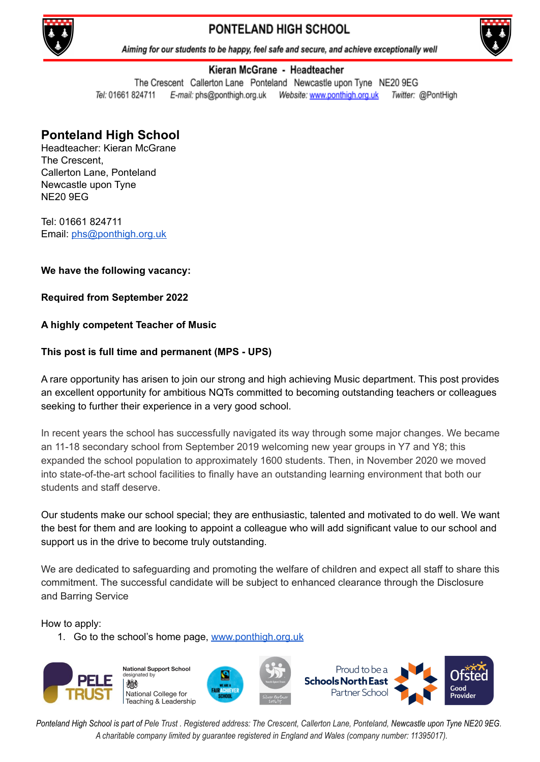

# PONTELAND HIGH SCHOOL



Aiming for our students to be happy, feel safe and secure, and achieve exceptionally well

#### Kieran McGrane - Headteacher

The Crescent Callerton Lane Ponteland Newcastle upon Tyne NE20 9EG Tel: 01661 824711 E-mail: phs@ponthigh.org.uk Website: www.ponthigh.org.uk Twitter: @PontHigh

## **Ponteland High School**

Headteacher: Kieran McGrane The Crescent, Callerton Lane, Ponteland Newcastle upon Tyne NE20 9EG

Tel: 01661 824711 Email: [phs@ponthigh.org.uk](mailto:phs@ponthigh.org.uk)

**We have the following vacancy:**

**Required from September 2022**

### **A highly competent Teacher of Music**

### **This post is full time and permanent (MPS - UPS)**

A rare opportunity has arisen to join our strong and high achieving Music department. This post provides an excellent opportunity for ambitious NQTs committed to becoming outstanding teachers or colleagues seeking to further their experience in a very good school.

In recent years the school has successfully navigated its way through some major changes. We became an 11-18 secondary school from September 2019 welcoming new year groups in Y7 and Y8; this expanded the school population to approximately 1600 students. Then, in November 2020 we moved into state-of-the-art school facilities to finally have an outstanding learning environment that both our students and staff deserve.

Our students make our school special; they are enthusiastic, talented and motivated to do well. We want the best for them and are looking to appoint a colleague who will add significant value to our school and support us in the drive to become truly outstanding.

We are dedicated to safeguarding and promoting the welfare of children and expect all staff to share this commitment. The successful candidate will be subject to enhanced clearance through the Disclosure and Barring Service

How to apply:

1. Go to the school's home page, [www.ponthigh.org.uk](http://www.ponthigh.org.uk)



Ponteland High School is part of Pele Trust. Registered address: The Crescent, Callerton Lane, Ponteland, Newcastle upon Tyne NE20 9EG. *A charitable company limited by guarantee registered in England and Wales (company number: 11395017).*